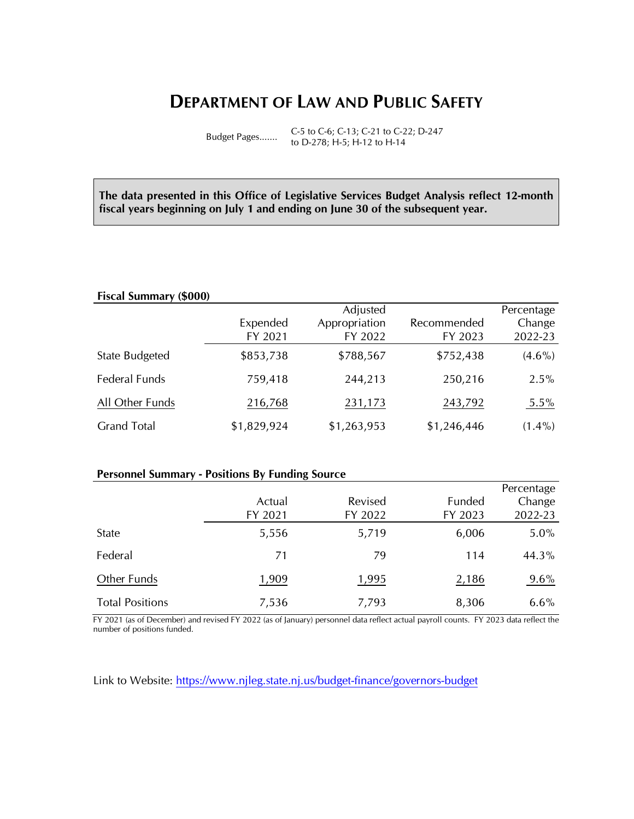# **DEPARTMENT OF LAW AND PUBLIC SAFETY**

Budget Pages....... C-5 to C-6; C-13; C-21 to C-22; D-247 to D-278; H-5; H-12 to H-14

**The data presented in this Office of Legislative Services Budget Analysis reflect 12-month fiscal years beginning on July 1 and ending on June 30 of the subsequent year.** 

#### **Fiscal Summary (\$000)**

|                       | Expended<br>FY 2021 | Adjusted<br>Appropriation<br>FY 2022 | Recommended<br>FY 2023 | Percentage<br>Change<br>2022-23 |
|-----------------------|---------------------|--------------------------------------|------------------------|---------------------------------|
| <b>State Budgeted</b> | \$853,738           | \$788,567                            | \$752,438              | $(4.6\%)$                       |
| Federal Funds         | 759,418             | 244,213                              | 250,216                | $2.5\%$                         |
| All Other Funds       | 216,768             | 231,173                              | 243,792                | $5.5\%$                         |
| <b>Grand Total</b>    | \$1,829,924         | \$1,263,953                          | \$1,246,446            | $(1.4\%)$                       |

#### **Personnel Summary - Positions By Funding Source**

|                        |         |         |         | Percentage |
|------------------------|---------|---------|---------|------------|
|                        | Actual  | Revised | Funded  | Change     |
|                        | FY 2021 | FY 2022 | FY 2023 | 2022-23    |
| State                  | 5,556   | 5,719   | 6,006   | $5.0\%$    |
| Federal                | 71      | 79      | 114     | 44.3%      |
| Other Funds            | 1,909   | 1,995   | 2,186   | $9.6\%$    |
| <b>Total Positions</b> | 7,536   | 7,793   | 8,306   | $6.6\%$    |

FY 2021 (as of December) and revised FY 2022 (as of January) personnel data reflect actual payroll counts. FY 2023 data reflect the number of positions funded.

Link to Website:<https://www.njleg.state.nj.us/budget-finance/governors-budget>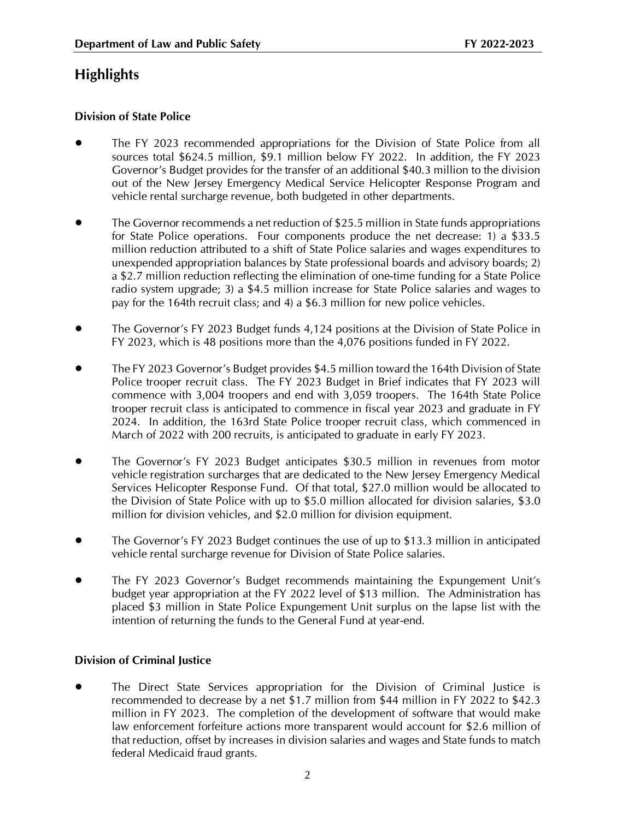# **Highlights**

## **Division of State Police**

- The FY 2023 recommended appropriations for the Division of State Police from all sources total \$624.5 million, \$9.1 million below FY 2022. In addition, the FY 2023 Governor's Budget provides for the transfer of an additional \$40.3 million to the division out of the New Jersey Emergency Medical Service Helicopter Response Program and vehicle rental surcharge revenue, both budgeted in other departments.
- The Governor recommends a net reduction of \$25.5 million in State funds appropriations for State Police operations. Four components produce the net decrease: 1) a \$33.5 million reduction attributed to a shift of State Police salaries and wages expenditures to unexpended appropriation balances by State professional boards and advisory boards; 2) a \$2.7 million reduction reflecting the elimination of one-time funding for a State Police radio system upgrade; 3) a \$4.5 million increase for State Police salaries and wages to pay for the 164th recruit class; and 4) a \$6.3 million for new police vehicles.
- The Governor's FY 2023 Budget funds 4,124 positions at the Division of State Police in FY 2023, which is 48 positions more than the 4,076 positions funded in FY 2022.
- The FY 2023 Governor's Budget provides \$4.5 million toward the 164th Division of State Police trooper recruit class. The FY 2023 Budget in Brief indicates that FY 2023 will commence with 3,004 troopers and end with 3,059 troopers. The 164th State Police trooper recruit class is anticipated to commence in fiscal year 2023 and graduate in FY 2024. In addition, the 163rd State Police trooper recruit class, which commenced in March of 2022 with 200 recruits, is anticipated to graduate in early FY 2023.
- The Governor's FY 2023 Budget anticipates \$30.5 million in revenues from motor vehicle registration surcharges that are dedicated to the New Jersey Emergency Medical Services Helicopter Response Fund. Of that total, \$27.0 million would be allocated to the Division of State Police with up to \$5.0 million allocated for division salaries, \$3.0 million for division vehicles, and \$2.0 million for division equipment.
- The Governor's FY 2023 Budget continues the use of up to \$13.3 million in anticipated vehicle rental surcharge revenue for Division of State Police salaries.
- The FY 2023 Governor's Budget recommends maintaining the Expungement Unit's budget year appropriation at the FY 2022 level of \$13 million. The Administration has placed \$3 million in State Police Expungement Unit surplus on the lapse list with the intention of returning the funds to the General Fund at year-end.

## **Division of Criminal Justice**

• The Direct State Services appropriation for the Division of Criminal Justice is recommended to decrease by a net \$1.7 million from \$44 million in FY 2022 to \$42.3 million in FY 2023. The completion of the development of software that would make law enforcement forfeiture actions more transparent would account for \$2.6 million of that reduction, offset by increases in division salaries and wages and State funds to match federal Medicaid fraud grants.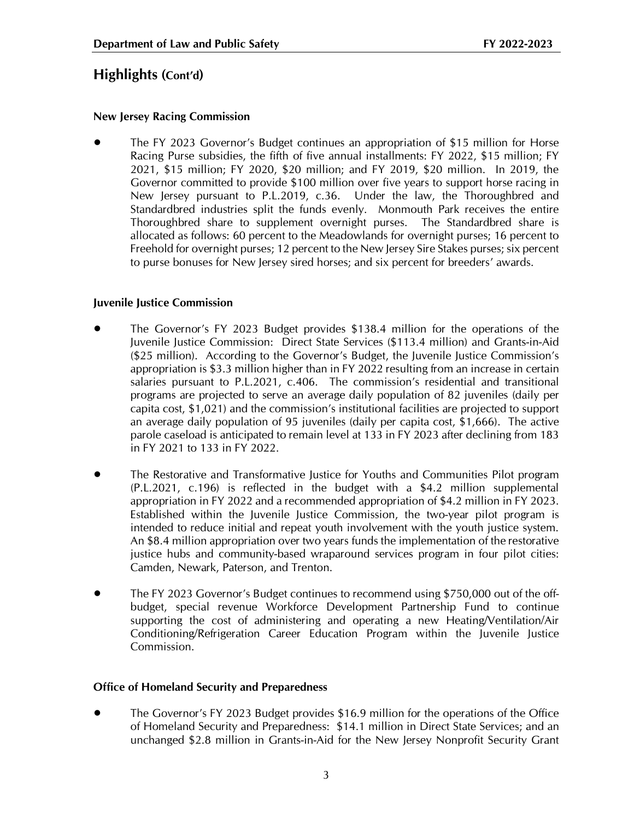# **Highlights (Cont'd)**

#### **New Jersey Racing Commission**

• The FY 2023 Governor's Budget continues an appropriation of \$15 million for Horse Racing Purse subsidies, the fifth of five annual installments: FY 2022, \$15 million; FY 2021, \$15 million; FY 2020, \$20 million; and FY 2019, \$20 million. In 2019, the Governor committed to provide \$100 million over five years to support horse racing in New Jersey pursuant to P.L.2019, c.36. Under the law, the Thoroughbred and Standardbred industries split the funds evenly. Monmouth Park receives the entire Thoroughbred share to supplement overnight purses. The Standardbred share is allocated as follows: 60 percent to the Meadowlands for overnight purses; 16 percent to Freehold for overnight purses; 12 percent to the New Jersey Sire Stakes purses; six percent to purse bonuses for New Jersey sired horses; and six percent for breeders' awards.

#### **Juvenile Justice Commission**

- The Governor's FY 2023 Budget provides \$138.4 million for the operations of the Juvenile Justice Commission: Direct State Services (\$113.4 million) and Grants-in-Aid (\$25 million). According to the Governor's Budget, the Juvenile Justice Commission's appropriation is \$3.3 million higher than in FY 2022 resulting from an increase in certain salaries pursuant to P.L.2021, c.406. The commission's residential and transitional programs are projected to serve an average daily population of 82 juveniles (daily per capita cost, \$1,021) and the commission's institutional facilities are projected to support an average daily population of 95 juveniles (daily per capita cost, \$1,666). The active parole caseload is anticipated to remain level at 133 in FY 2023 after declining from 183 in FY 2021 to 133 in FY 2022.
- The Restorative and Transformative Justice for Youths and Communities Pilot program (P.L.2021, c.196) is reflected in the budget with a \$4.2 million supplemental appropriation in FY 2022 and a recommended appropriation of \$4.2 million in FY 2023. Established within the Juvenile Justice Commission, the two-year pilot program is intended to reduce initial and repeat youth involvement with the youth justice system. An \$8.4 million appropriation over two years funds the implementation of the restorative justice hubs and community-based wraparound services program in four pilot cities: Camden, Newark, Paterson, and Trenton.
- The FY 2023 Governor's Budget continues to recommend using \$750,000 out of the offbudget, special revenue Workforce Development Partnership Fund to continue supporting the cost of administering and operating a new Heating/Ventilation/Air Conditioning/Refrigeration Career Education Program within the Juvenile Justice Commission.

#### **Office of Homeland Security and Preparedness**

• The Governor's FY 2023 Budget provides \$16.9 million for the operations of the Office of Homeland Security and Preparedness: \$14.1 million in Direct State Services; and an unchanged \$2.8 million in Grants-in-Aid for the New Jersey Nonprofit Security Grant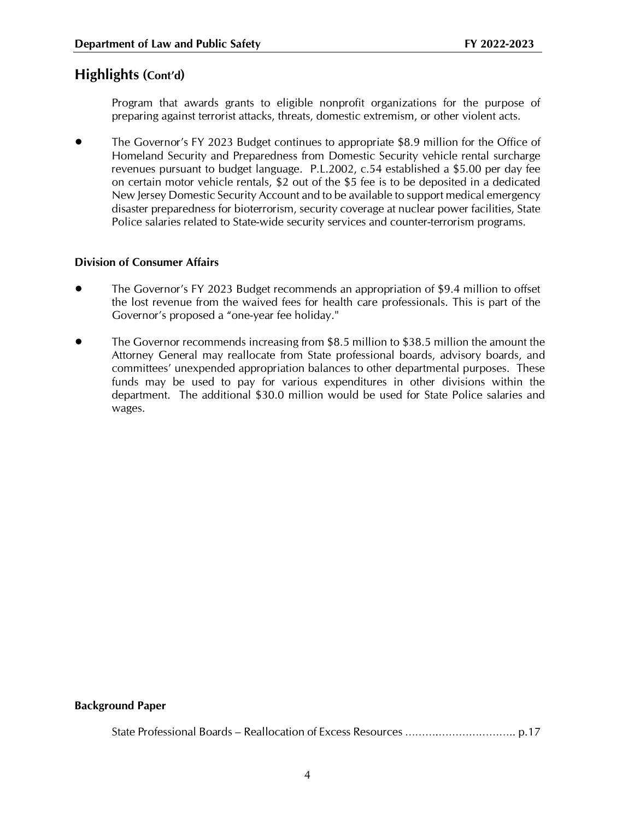# **Highlights (Cont'd)**

Program that awards grants to eligible nonprofit organizations for the purpose of preparing against terrorist attacks, threats, domestic extremism, or other violent acts.

• The Governor's FY 2023 Budget continues to appropriate \$8.9 million for the Office of Homeland Security and Preparedness from Domestic Security vehicle rental surcharge revenues pursuant to budget language. P.L.2002, c.54 established a \$5.00 per day fee on certain motor vehicle rentals, \$2 out of the \$5 fee is to be deposited in a dedicated New Jersey Domestic Security Account and to be available to support medical emergency disaster preparedness for bioterrorism, security coverage at nuclear power facilities, State Police salaries related to State-wide security services and counter-terrorism programs.

#### **Division of Consumer Affairs**

- The Governor's FY 2023 Budget recommends an appropriation of \$9.4 million to offset the lost revenue from the waived fees for health care professionals. This is part of the Governor's proposed a "one-year fee holiday."
- The Governor recommends increasing from \$8.5 million to \$38.5 million the amount the Attorney General may reallocate from State professional boards, advisory boards, and committees' unexpended appropriation balances to other departmental purposes. These funds may be used to pay for various expenditures in other divisions within the department. The additional \$30.0 million would be used for State Police salaries and wages.

#### **Background Paper**

State Professional Boards – Reallocation of Excess Resources ……….………………….. p.17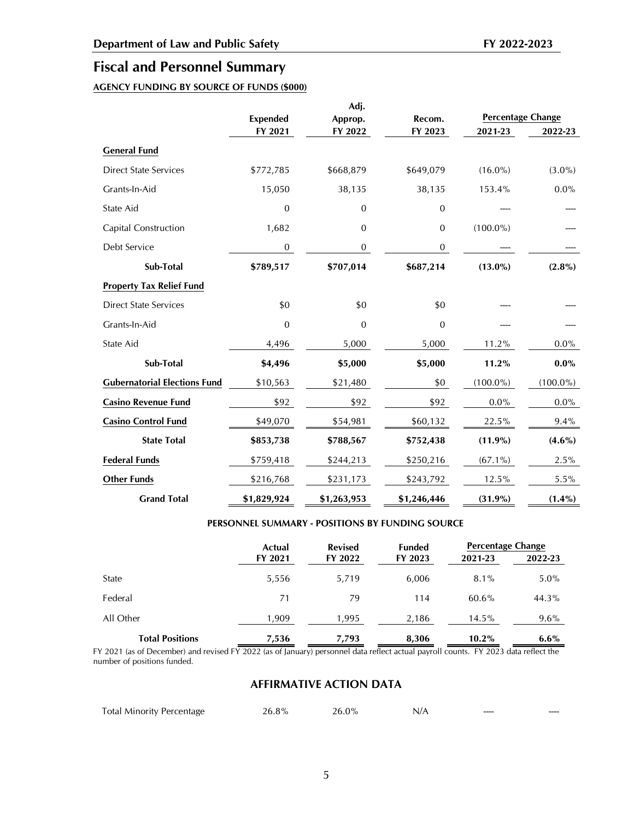# **Fiscal and Personnel Summary**

## **AGENCY FUNDING BY SOURCE OF FUNDS (\$000)**

|                                     |                            | Adj.               |                   |                                     |             |
|-------------------------------------|----------------------------|--------------------|-------------------|-------------------------------------|-------------|
|                                     | <b>Expended</b><br>FY 2021 | Approp.<br>FY 2022 | Recom.<br>FY 2023 | <b>Percentage Change</b><br>2021-23 | 2022-23     |
| <b>General Fund</b>                 |                            |                    |                   |                                     |             |
| <b>Direct State Services</b>        | \$772,785                  | \$668,879          | \$649,079         | $(16.0\%)$                          | $(3.0\%)$   |
| Grants-In-Aid                       | 15,050                     | 38,135             | 38,135            | 153.4%                              | $0.0\%$     |
| State Aid                           | $\mathbf 0$                | $\boldsymbol{0}$   | $\boldsymbol{0}$  |                                     |             |
| Capital Construction                | 1,682                      | 0                  | 0                 | $(100.0\%)$                         |             |
| Debt Service                        | 0                          | 0                  | 0                 |                                     |             |
| Sub-Total                           | \$789,517                  | \$707,014          | \$687,214         | $(13.0\%)$                          | $(2.8\%)$   |
| <b>Property Tax Relief Fund</b>     |                            |                    |                   |                                     |             |
| <b>Direct State Services</b>        | \$0                        | \$0                | \$0               |                                     |             |
| Grants-In-Aid                       | $\mathbf{0}$               | $\mathbf{0}$       | $\mathbf{0}$      |                                     |             |
| State Aid                           | 4,496                      | 5,000              | 5,000             | 11.2%                               | 0.0%        |
| Sub-Total                           | \$4,496                    | \$5,000            | \$5,000           | 11.2%                               | $0.0\%$     |
| <b>Gubernatorial Elections Fund</b> | \$10,563                   | \$21,480           | \$0               | $(100.0\%)$                         | $(100.0\%)$ |
| <b>Casino Revenue Fund</b>          | \$92                       | \$92               | \$92              | $0.0\%$                             | $0.0\%$     |
| <b>Casino Control Fund</b>          | \$49,070                   | \$54,981           | \$60,132          | 22.5%                               | 9.4%        |
| <b>State Total</b>                  | \$853,738                  | \$788,567          | \$752,438         | $(11.9\%)$                          | $(4.6\%)$   |
| <b>Federal Funds</b>                | \$759,418                  | \$244,213          | \$250,216         | $(67.1\%)$                          | 2.5%        |
| <b>Other Funds</b>                  | \$216,768                  | \$231,173          | \$243,792         | 12.5%                               | $5.5\%$     |
| <b>Grand Total</b>                  | \$1,829,924                | \$1,263,953        | \$1,246,446       | $(31.9\%)$                          | $(1.4\%)$   |

#### **PERSONNEL SUMMARY - POSITIONS BY FUNDING SOURCE**

|                        | Actual  | <b>Revised</b> | <b>Funded</b> | <b>Percentage Change</b> |         |
|------------------------|---------|----------------|---------------|--------------------------|---------|
|                        | FY 2021 | FY 2022        | FY 2023       | 2021-23                  | 2022-23 |
| State                  | 5,556   | 5,719          | 6,006         | 8.1%                     | $5.0\%$ |
| Federal                | 71      | 79             | 114           | $60.6\%$                 | 44.3%   |
| All Other              | 1,909   | 1,995          | 2,186         | 14.5%                    | $9.6\%$ |
| <b>Total Positions</b> | 7,536   | 7.793          | 8.306         | $10.2\%$                 | $6.6\%$ |

FY 2021 (as of December) and revised FY 2022 (as of January) personnel data reflect actual payroll counts. FY 2023 data reflect the number of positions funded.

#### **AFFIRMATIVE ACTION DATA**

| <b>Total Minority Percentage</b> | 26.8% | $26.0\%$ | N/A | ---- | ---- |
|----------------------------------|-------|----------|-----|------|------|
|                                  |       |          |     |      |      |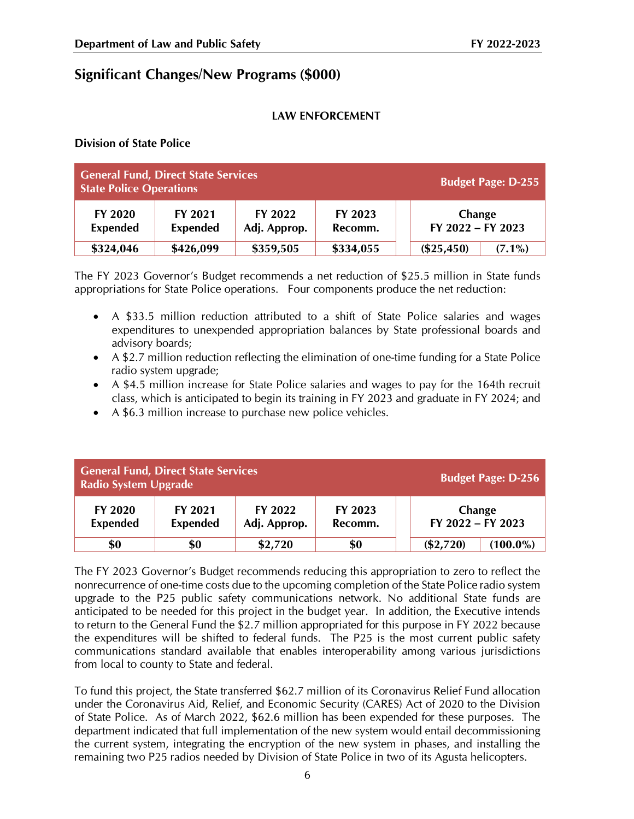# **Significant Changes/New Programs (\$000)**

#### **LAW ENFORCEMENT**

**Division of State Police**

| <b>General Fund, Direct State Services</b><br><b>Budget Page: D-255</b><br><b>State Police Operations</b> |                            |                         |                    |                                 |  |  |
|-----------------------------------------------------------------------------------------------------------|----------------------------|-------------------------|--------------------|---------------------------------|--|--|
| FY 2020<br><b>Expended</b>                                                                                | FY 2021<br><b>Expended</b> | FY 2022<br>Adj. Approp. | FY 2023<br>Recomm. | Change<br>$FY$ 2022 – $FY$ 2023 |  |  |
| \$324,046                                                                                                 | \$426,099                  | \$359,505               | \$334,055          | $(\$25,450)$<br>$(7.1\%)$       |  |  |

The FY 2023 Governor's Budget recommends a net reduction of \$25.5 million in State funds appropriations for State Police operations. Four components produce the net reduction:

- A \$33.5 million reduction attributed to a shift of State Police salaries and wages expenditures to unexpended appropriation balances by State professional boards and advisory boards;
- A \$2.7 million reduction reflecting the elimination of one-time funding for a State Police radio system upgrade;
- A \$4.5 million increase for State Police salaries and wages to pay for the 164th recruit class, which is anticipated to begin its training in FY 2023 and graduate in FY 2024; and
- A \$6.3 million increase to purchase new police vehicles.

| <b>General Fund, Direct State Services</b><br><b>Radio System Upgrade</b> | <b>Budget Page: D-256</b>  |                         |                    |                             |
|---------------------------------------------------------------------------|----------------------------|-------------------------|--------------------|-----------------------------|
| <b>FY 2020</b><br><b>Expended</b>                                         | FY 2021<br><b>Expended</b> | FY 2022<br>Adj. Approp. | FY 2023<br>Recomm. | Change<br>FY 2022 - FY 2023 |
| \$0                                                                       | \$0                        | \$2,720                 | \$0                | $(\$2,720)$<br>$(100.0\%)$  |

The FY 2023 Governor's Budget recommends reducing this appropriation to zero to reflect the nonrecurrence of one-time costs due to the upcoming completion of the State Police radio system upgrade to the P25 public safety communications network. No additional State funds are anticipated to be needed for this project in the budget year. In addition, the Executive intends to return to the General Fund the \$2.7 million appropriated for this purpose in FY 2022 because the expenditures will be shifted to federal funds. The P25 is the most current public safety communications standard available that enables interoperability among various jurisdictions from local to county to State and federal.

To fund this project, the State transferred \$62.7 million of its Coronavirus Relief Fund allocation under the Coronavirus Aid, Relief, and Economic Security (CARES) Act of 2020 to the Division of State Police. As of March 2022, \$62.6 million has been expended for these purposes. The department indicated that full implementation of the new system would entail decommissioning the current system, integrating the encryption of the new system in phases, and installing the remaining two P25 radios needed by Division of State Police in two of its Agusta helicopters.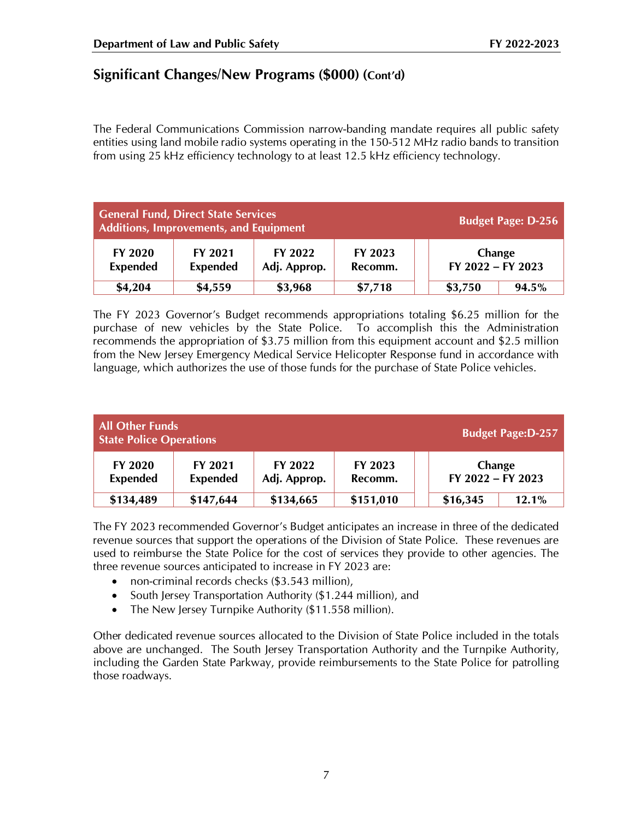The Federal Communications Commission narrow-banding mandate requires all public safety entities using land mobile radio systems operating in the 150-512 MHz radio bands to transition from using 25 kHz efficiency technology to at least 12.5 kHz efficiency technology.

| <b>General Fund, Direct State Services</b><br><b>Budget Page: D-256</b><br>Additions, Improvements, and Equipment |                            |                         |                    |                             |       |  |
|-------------------------------------------------------------------------------------------------------------------|----------------------------|-------------------------|--------------------|-----------------------------|-------|--|
| <b>FY 2020</b><br><b>Expended</b>                                                                                 | FY 2021<br><b>Expended</b> | FY 2022<br>Adj. Approp. | FY 2023<br>Recomm. | Change<br>FY 2022 - FY 2023 |       |  |
| \$4,204                                                                                                           | \$4,559                    | \$3,968                 | \$7,718            | \$3,750                     | 94.5% |  |

The FY 2023 Governor's Budget recommends appropriations totaling \$6.25 million for the purchase of new vehicles by the State Police. To accomplish this the Administration recommends the appropriation of \$3.75 million from this equipment account and \$2.5 million from the New Jersey Emergency Medical Service Helicopter Response fund in accordance with language, which authorizes the use of those funds for the purchase of State Police vehicles.

| <b>All Other Funds</b><br><b>Budget Page:D-257</b><br><b>State Police Operations</b> |                            |                         |                    |                                 |       |  |  |
|--------------------------------------------------------------------------------------|----------------------------|-------------------------|--------------------|---------------------------------|-------|--|--|
| <b>FY 2020</b><br><b>Expended</b>                                                    | FY 2021<br><b>Expended</b> | FY 2022<br>Adj. Approp. | FY 2023<br>Recomm. | Change<br>$FY$ 2022 – $FY$ 2023 |       |  |  |
| \$134,489                                                                            | \$147,644                  | \$134,665               | \$151,010          | \$16,345                        | 12.1% |  |  |

The FY 2023 recommended Governor's Budget anticipates an increase in three of the dedicated revenue sources that support the operations of the Division of State Police. These revenues are used to reimburse the State Police for the cost of services they provide to other agencies. The three revenue sources anticipated to increase in FY 2023 are:

- non-criminal records checks (\$3.543 million),
- South Jersey Transportation Authority (\$1.244 million), and
- The New Jersey Turnpike Authority (\$11.558 million).

Other dedicated revenue sources allocated to the Division of State Police included in the totals above are unchanged. The South Jersey Transportation Authority and the Turnpike Authority, including the Garden State Parkway, provide reimbursements to the State Police for patrolling those roadways.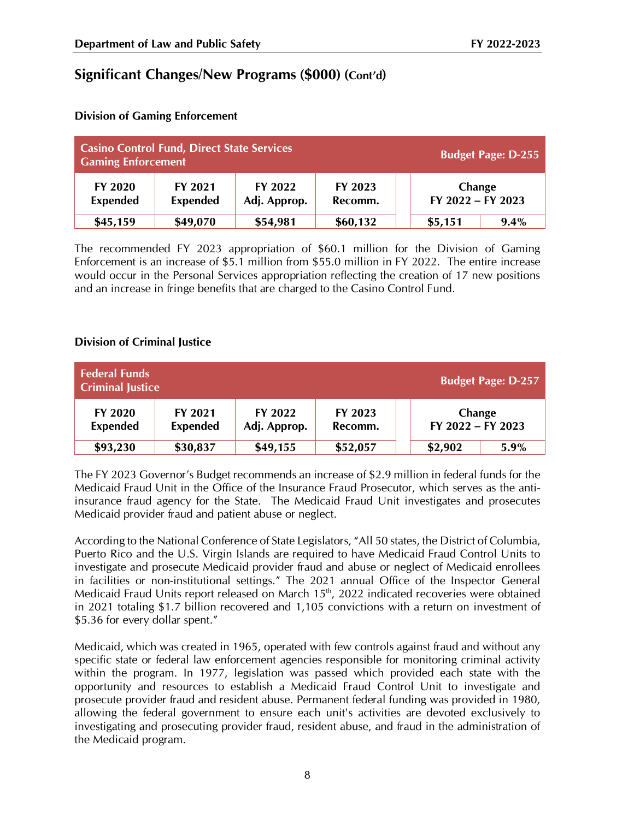| <b>Casino Control Fund, Direct State Services</b><br><b>Budget Page: D-255</b><br><b>Gaming Enforcement</b> |                            |                         |                    |                             |      |  |
|-------------------------------------------------------------------------------------------------------------|----------------------------|-------------------------|--------------------|-----------------------------|------|--|
| FY 2020<br><b>Expended</b>                                                                                  | FY 2021<br><b>Expended</b> | FY 2022<br>Adj. Approp. | FY 2023<br>Recomm. | Change<br>FY 2022 - FY 2023 |      |  |
| \$45,159                                                                                                    | \$49,070                   | \$54,981                | \$60,132           | \$5,151                     | 9.4% |  |

#### **Division of Gaming Enforcement**

The recommended FY 2023 appropriation of \$60.1 million for the Division of Gaming Enforcement is an increase of \$5.1 million from \$55.0 million in FY 2022. The entire increase would occur in the Personal Services appropriation reflecting the creation of 17 new positions and an increase in fringe benefits that are charged to the Casino Control Fund.

#### **Division of Criminal Justice**

| <b>Federal Funds</b><br><b>Budget Page: D-257</b><br><b>Criminal Justice</b> |                            |                         |                    |                             |      |  |  |
|------------------------------------------------------------------------------|----------------------------|-------------------------|--------------------|-----------------------------|------|--|--|
| FY 2020<br><b>Expended</b>                                                   | FY 2021<br><b>Expended</b> | FY 2022<br>Adj. Approp. | FY 2023<br>Recomm. | Change<br>FY 2022 - FY 2023 |      |  |  |
| \$93,230                                                                     | \$30,837                   | \$49,155                | \$52,057           | \$2,902                     | 5.9% |  |  |

The FY 2023 Governor's Budget recommends an increase of \$2.9 million in federal funds for the Medicaid Fraud Unit in the Office of the Insurance Fraud Prosecutor, which serves as the antiinsurance fraud agency for the State. The Medicaid Fraud Unit investigates and prosecutes Medicaid provider fraud and patient abuse or neglect.

According to the National Conference of State Legislators, "All [50 states, the District of Columbia,](https://oig.hhs.gov/fraud/medicaid-fraud-control-units-mfcu/)  [Puerto Rico and the U.S. Virgin Islands](https://oig.hhs.gov/fraud/medicaid-fraud-control-units-mfcu/) are required to have Medicaid Fraud Control Units to investigate and prosecute Medicaid provider fraud and abuse or neglect of Medicaid enrollees in facilities or non-institutional settings." The 2021 annual Office of the Inspector General Medicaid Fraud Units report released on March  $15<sup>th</sup>$ , 2022 indicated recoveries were obtained in 2021 totaling \$1.7 billion recovered and 1,105 convictions with a return on investment of \$5.36 for every dollar spent."

Medicaid, which was created in 1965, operated with few controls against fraud and without any specific state or federal law enforcement agencies responsible for monitoring criminal activity within the program. In 1977, legislation was passed which provided each state with the opportunity and resources to establish a Medicaid Fraud Control Unit to investigate and prosecute provider fraud and resident abuse. Permanent federal funding was provided in 1980, allowing the federal government to ensure each unit's activities are devoted exclusively to investigating and prosecuting provider fraud, resident abuse, and fraud in the administration of the Medicaid program.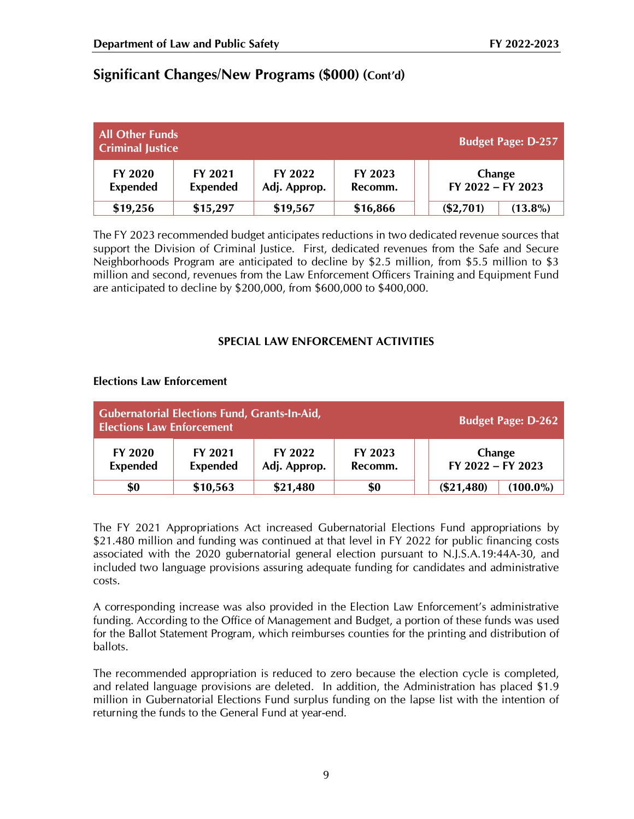| <b>All Other Funds</b><br><b>Budget Page: D-257</b><br><b>Criminal Justice</b> |                            |                         |                    |                             |            |  |  |
|--------------------------------------------------------------------------------|----------------------------|-------------------------|--------------------|-----------------------------|------------|--|--|
| <b>FY 2020</b><br><b>Expended</b>                                              | FY 2021<br><b>Expended</b> | FY 2022<br>Adj. Approp. | FY 2023<br>Recomm. | Change<br>FY 2022 - FY 2023 |            |  |  |
| \$19,256                                                                       | \$15,297                   | \$19,567                | \$16,866           | $(\$2,701)$                 | $(13.8\%)$ |  |  |

The FY 2023 recommended budget anticipates reductions in two dedicated revenue sources that support the Division of Criminal Justice. First, dedicated revenues from the Safe and Secure Neighborhoods Program are anticipated to decline by \$2.5 million, from \$5.5 million to \$3 million and second, revenues from the Law Enforcement Officers Training and Equipment Fund are anticipated to decline by \$200,000, from \$600,000 to \$400,000.

## **SPECIAL LAW ENFORCEMENT ACTIVITIES**

#### **Elections Law Enforcement**

| <b>Gubernatorial Elections Fund, Grants-In-Aid,</b><br><b>Elections Law Enforcement</b> |                            |                         |                    |                             | <b>Budget Page: D-262</b> |
|-----------------------------------------------------------------------------------------|----------------------------|-------------------------|--------------------|-----------------------------|---------------------------|
| <b>FY 2020</b><br><b>Expended</b>                                                       | FY 2021<br><b>Expended</b> | FY 2022<br>Adj. Approp. | FY 2023<br>Recomm. | Change<br>FY 2022 - FY 2023 |                           |
| \$0                                                                                     | \$10,563                   | \$21,480                | \$0                | (\$21,480)                  | $(100.0\%)$               |

The FY 2021 Appropriations Act increased Gubernatorial Elections Fund appropriations by \$21.480 million and funding was continued at that level in FY 2022 for public financing costs associated with the 2020 gubernatorial general election pursuant to N.J.S.A.19:44A-30, and included two language provisions assuring adequate funding for candidates and administrative costs.

A corresponding increase was also provided in the Election Law Enforcement's administrative funding. According to the Office of Management and Budget, a portion of these funds was used for the Ballot Statement Program, which reimburses counties for the printing and distribution of ballots.

The recommended appropriation is reduced to zero because the election cycle is completed, and related language provisions are deleted. In addition, the Administration has placed \$1.9 million in Gubernatorial Elections Fund surplus funding on the lapse list with the intention of returning the funds to the General Fund at year-end.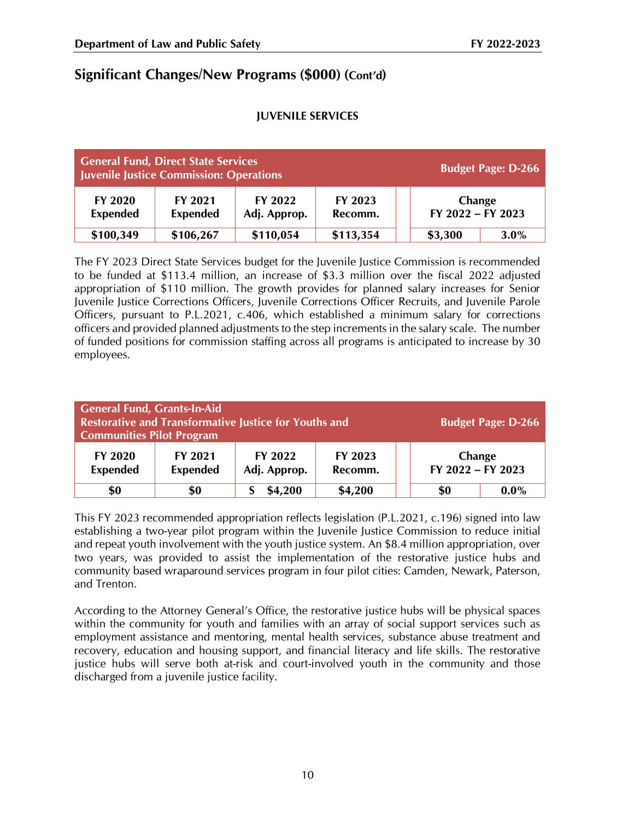### **JUVENILE SERVICES**

| <b>General Fund, Direct State Services</b><br>Juvenile Justice Commission: Operations |                            |                         |                    | <b>Budget Page: D-266</b>   |
|---------------------------------------------------------------------------------------|----------------------------|-------------------------|--------------------|-----------------------------|
| <b>FY 2020</b><br><b>Expended</b>                                                     | FY 2021<br><b>Expended</b> | FY 2022<br>Adj. Approp. | FY 2023<br>Recomm. | Change<br>FY 2022 - FY 2023 |
| \$100,349                                                                             | \$106,267                  | \$110,054               | \$113,354          | \$3,300<br>$3.0\%$          |

The FY 2023 Direct State Services budget for the Juvenile Justice Commission is recommended to be funded at \$113.4 million, an increase of \$3.3 million over the fiscal 2022 adjusted appropriation of \$110 million. The growth provides for planned salary increases for Senior Juvenile Justice Corrections Officers, Juvenile Corrections Officer Recruits, and Juvenile Parole Officers, pursuant to P.L.2021, c.406, which established a minimum salary for corrections officers and provided planned adjustments to the step increments in the salary scale. The number of funded positions for commission staffing across all programs is anticipated to increase by 30 employees.

| General Fund, Grants-In-Aid<br><b>Communities Pilot Program</b> |                            | <b>Restorative and Transformative Justice for Youths and</b> |                    |                             | <b>Budget Page: D-266</b> |
|-----------------------------------------------------------------|----------------------------|--------------------------------------------------------------|--------------------|-----------------------------|---------------------------|
| <b>FY 2020</b><br><b>Expended</b>                               | FY 2021<br><b>Expended</b> | FY 2022<br>Adj. Approp.                                      | FY 2023<br>Recomm. | Change<br>FY 2022 - FY 2023 |                           |
| \$0                                                             | \$0                        | \$4,200                                                      | \$4,200            | \$0                         | $0.0\%$                   |

This FY 2023 recommended appropriation reflects legislation (P.L.2021, c.196) signed into law establishing a two-year pilot program within the Juvenile Justice Commission to reduce initial and repeat youth involvement with the youth justice system. An \$8.4 million appropriation, over two years, was provided to assist the implementation of the restorative justice hubs and community based wraparound services program in four pilot cities: Camden, Newark, Paterson, and Trenton.

According to the Attorney General's Office, the restorative justice hubs will be physical spaces within the community for youth and families with an array of social support services such as employment assistance and mentoring, mental health services, substance abuse treatment and recovery, education and housing support, and financial literacy and life skills. The restorative justice hubs will serve both at-risk and court-involved youth in the community and those discharged from a juvenile justice facility.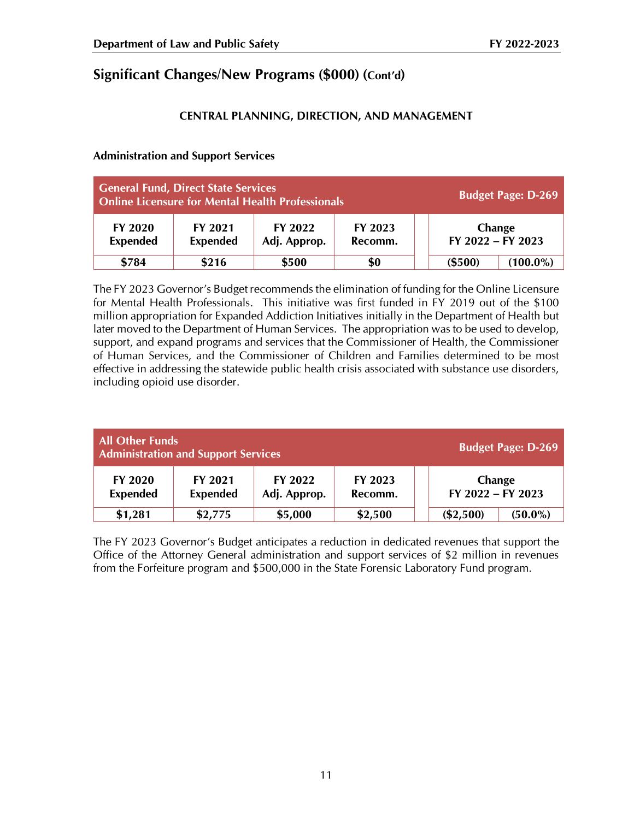## **CENTRAL PLANNING, DIRECTION, AND MANAGEMENT**

#### **Administration and Support Services**

| <b>General Fund, Direct State Services</b><br>Online Licensure for Mental Health Professionals |                            |                         |                    |                             | <b>Budget Page: D-269</b> |
|------------------------------------------------------------------------------------------------|----------------------------|-------------------------|--------------------|-----------------------------|---------------------------|
| <b>FY 2020</b><br><b>Expended</b>                                                              | FY 2021<br><b>Expended</b> | FY 2022<br>Adj. Approp. | FY 2023<br>Recomm. | Change<br>FY 2022 - FY 2023 |                           |
| \$784                                                                                          | \$216                      | \$500                   | \$0                | (\$500)                     | $(100.0\%)$               |

The FY 2023 Governor's Budget recommends the elimination of funding for the Online Licensure for Mental Health Professionals. This initiative was first funded in FY 2019 out of the \$100 million appropriation for Expanded Addiction Initiatives initially in the Department of Health but later moved to the Department of Human Services. The appropriation was to be used to develop, support, and expand programs and services that the Commissioner of Health, the Commissioner of Human Services, and the Commissioner of Children and Families determined to be most effective in addressing the statewide public health crisis associated with substance use disorders, including opioid use disorder.

| <b>All Other Funds</b><br><b>Administration and Support Services</b> |                            |                         |                    | <b>Budget Page: D-269</b>   |
|----------------------------------------------------------------------|----------------------------|-------------------------|--------------------|-----------------------------|
| <b>FY 2020</b><br><b>Expended</b>                                    | FY 2021<br><b>Expended</b> | FY 2022<br>Adj. Approp. | FY 2023<br>Recomm. | Change<br>FY 2022 - FY 2023 |
| \$1,281                                                              | \$2,775                    | \$5,000                 | \$2,500            | $(\$2,500)$<br>$(50.0\%)$   |

The FY 2023 Governor's Budget anticipates a reduction in dedicated revenues that support the Office of the Attorney General administration and support services of \$2 million in revenues from the Forfeiture program and \$500,000 in the State Forensic Laboratory Fund program.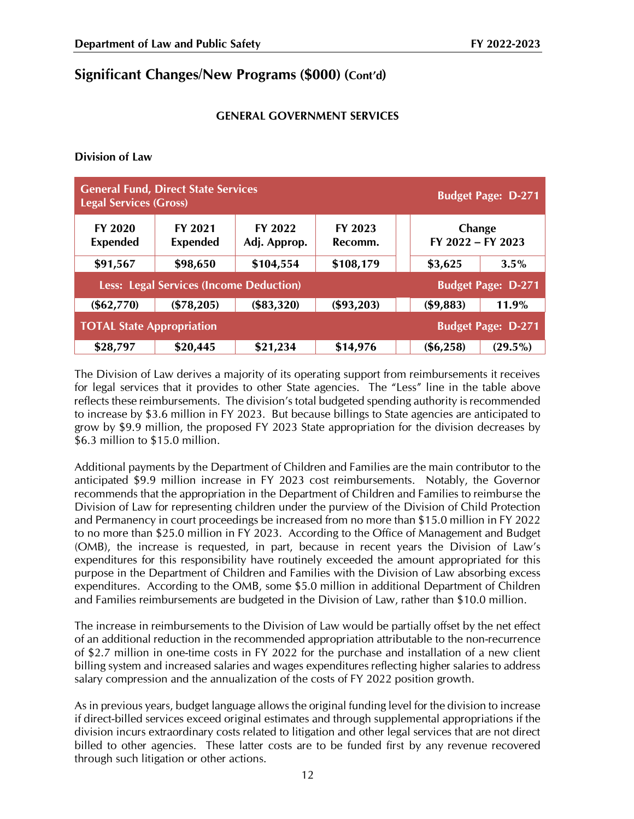#### **GENERAL GOVERNMENT SERVICES**

#### **Division of Law**

| <b>General Fund, Direct State Services</b><br><b>Legal Services (Gross)</b> |                            |                         |                    |                             | <b>Budget Page: D-271</b> |
|-----------------------------------------------------------------------------|----------------------------|-------------------------|--------------------|-----------------------------|---------------------------|
| <b>FY 2020</b><br><b>Expended</b>                                           | FY 2021<br><b>Expended</b> | FY 2022<br>Adj. Approp. | FY 2023<br>Recomm. | Change<br>FY 2022 - FY 2023 |                           |
| \$91,567                                                                    | \$98,650                   | \$104,554               | \$108,179          | \$3,625                     | $3.5\%$                   |
| <b>Less: Legal Services (Income Deduction)</b>                              |                            |                         |                    | <b>Budget Page: D-271</b>   |                           |
| $(\$62,770)$                                                                | (\$78,205)                 | (\$83,320)              | (\$93,203)         | (\$9,883)                   | $11.9\%$                  |
| <b>TOTAL State Appropriation</b>                                            |                            |                         |                    |                             | <b>Budget Page: D-271</b> |
| \$28,797                                                                    | \$20,445                   | \$21,234                | \$14,976           | $(\$6,258)$                 | $(29.5\%)$                |

The Division of Law derives a majority of its operating support from reimbursements it receives for legal services that it provides to other State agencies. The "Less" line in the table above reflects these reimbursements. The division's total budgeted spending authority is recommended to increase by \$3.6 million in FY 2023. But because billings to State agencies are anticipated to grow by \$9.9 million, the proposed FY 2023 State appropriation for the division decreases by \$6.3 million to \$15.0 million.

Additional payments by the Department of Children and Families are the main contributor to the anticipated \$9.9 million increase in FY 2023 cost reimbursements. Notably, the Governor recommends that the appropriation in the Department of Children and Families to reimburse the Division of Law for representing children under the purview of the Division of Child Protection and Permanency in court proceedings be increased from no more than \$15.0 million in FY 2022 to no more than \$25.0 million in FY 2023. According to the Office of Management and Budget (OMB), the increase is requested, in part, because in recent years the Division of Law's expenditures for this responsibility have routinely exceeded the amount appropriated for this purpose in the Department of Children and Families with the Division of Law absorbing excess expenditures. According to the OMB, some \$5.0 million in additional Department of Children and Families reimbursements are budgeted in the Division of Law, rather than \$10.0 million.

The increase in reimbursements to the Division of Law would be partially offset by the net effect of an additional reduction in the recommended appropriation attributable to the non-recurrence of \$2.7 million in one-time costs in FY 2022 for the purchase and installation of a new client billing system and increased salaries and wages expenditures reflecting higher salaries to address salary compression and the annualization of the costs of FY 2022 position growth.

As in previous years, budget language allows the original funding level for the division to increase if direct-billed services exceed original estimates and through supplemental appropriations if the division incurs extraordinary costs related to litigation and other legal services that are not direct billed to other agencies. These latter costs are to be funded first by any revenue recovered through such litigation or other actions.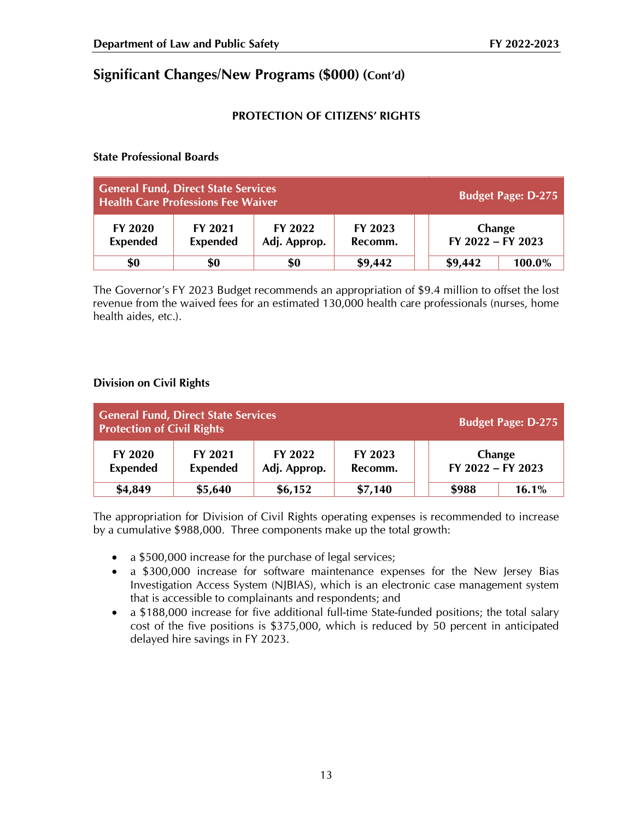## **PROTECTION OF CITIZENS' RIGHTS**

#### **State Professional Boards**

| <b>General Fund, Direct State Services</b><br><b>Health Care Professions Fee Waiver</b> |                            |                         |                    | <b>Budget Page: D-275</b>   |
|-----------------------------------------------------------------------------------------|----------------------------|-------------------------|--------------------|-----------------------------|
| <b>FY 2020</b><br><b>Expended</b>                                                       | FY 2021<br><b>Expended</b> | FY 2022<br>Adj. Approp. | FY 2023<br>Recomm. | Change<br>FY 2022 - FY 2023 |
| \$0                                                                                     | \$0                        | \$0                     | \$9,442            | \$9,442<br>100.0%           |

The Governor's FY 2023 Budget recommends an appropriation of \$9.4 million to offset the lost revenue from the waived fees for an estimated 130,000 health care professionals (nurses, home health aides, etc.).

## **Division on Civil Rights**

| <b>Protection of Civil Rights</b> | General Fund, Direct State Services |                         | <b>Budget Page: D-275</b> |                             |       |
|-----------------------------------|-------------------------------------|-------------------------|---------------------------|-----------------------------|-------|
| <b>FY 2020</b><br><b>Expended</b> | FY 2021<br><b>Expended</b>          | FY 2022<br>Adj. Approp. | FY 2023<br>Recomm.        | Change<br>FY 2022 - FY 2023 |       |
| \$4,849                           | \$5,640                             | \$6,152                 | \$7,140                   | \$988                       | 16.1% |

The appropriation for Division of Civil Rights operating expenses is recommended to increase by a cumulative \$988,000. Three components make up the total growth:

- a \$500,000 increase for the purchase of legal services;
- a \$300,000 increase for software maintenance expenses for the New Jersey Bias Investigation Access System (NJBIAS), which is an electronic case management system that is accessible to complainants and respondents; and
- a \$188,000 increase for five additional full-time State-funded positions; the total salary cost of the five positions is \$375,000, which is reduced by 50 percent in anticipated delayed hire savings in FY 2023.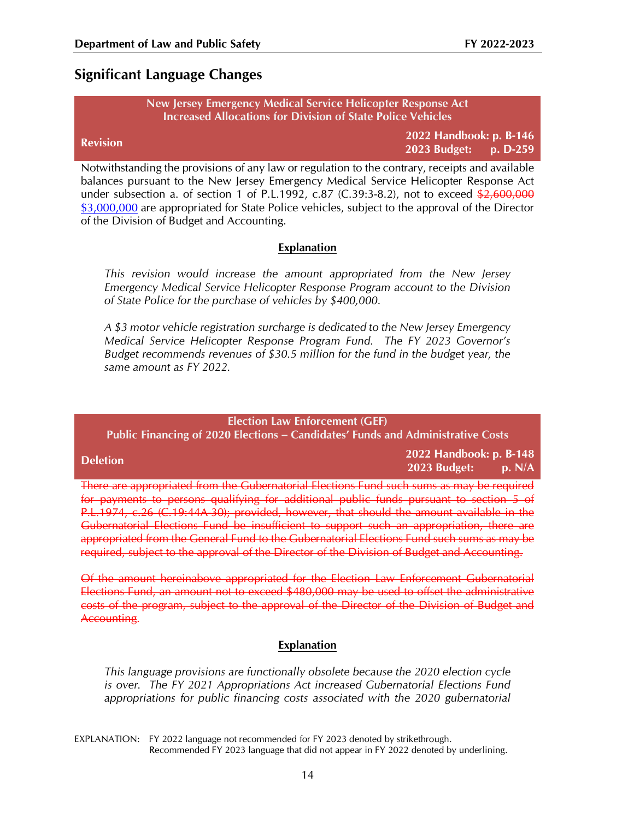# **Significant Language Changes**

#### **New Jersey Emergency Medical Service Helicopter Response Act Increased Allocations for Division of State Police Vehicles**

|                 | 2022 Handbook: p. B-146 |  |
|-----------------|-------------------------|--|
| <b>Revision</b> | 2023 Budget: p. D-259   |  |

Notwithstanding the provisions of any law or regulation to the contrary, receipts and available balances pursuant to the New Jersey Emergency Medical Service Helicopter Response Act under subsection a. of section 1 of P.L.1992, c.87 (C.39:3-8.2), not to exceed  $\frac{12,600,000}{2}$ \$3,000,000 are appropriated for State Police vehicles, subject to the approval of the Director of the Division of Budget and Accounting.

#### **Explanation**

*This revision would increase the amount appropriated from the New Jersey Emergency Medical Service Helicopter Response Program account to the Division of State Police for the purchase of vehicles by \$400,000.*

*A \$3 motor vehicle registration surcharge is dedicated to the New Jersey Emergency Medical Service Helicopter Response Program Fund. The FY 2023 Governor's Budget recommends revenues of \$30.5 million for the fund in the budget year, the same amount as FY 2022.*

#### **Election Law Enforcement (GEF)**

**Public Financing of 2020 Elections – Candidates' Funds and Administrative Costs**

**Deletion 2022 Handbook: p. B-148 2023 Budget:** 

There are appropriated from the Gubernatorial Elections Fund such sums as may be required for payments to persons qualifying for additional public funds pursuant to section 5 of P.L.1974, c.26 (C.19:44A-30); provided, however, that should the amount available in the Gubernatorial Elections Fund be insufficient to support such an appropriation, there are appropriated from the General Fund to the Gubernatorial Elections Fund such sums as may be required, subject to the approval of the Director of the Division of Budget and Accounting.

Of the amount hereinabove appropriated for the Election Law Enforcement Gubernatorial Elections Fund, an amount not to exceed \$480,000 may be used to offset the administrative costs of the program, subject to the approval of the Director of the Division of Budget and Accounting.

## **Explanation**

*This language provisions are functionally obsolete because the 2020 election cycle is over. The FY 2021 Appropriations Act increased Gubernatorial Elections Fund appropriations for public financing costs associated with the 2020 gubernatorial*

EXPLANATION: FY 2022 language not recommended for FY 2023 denoted by strikethrough. Recommended FY 2023 language that did not appear in FY 2022 denoted by underlining.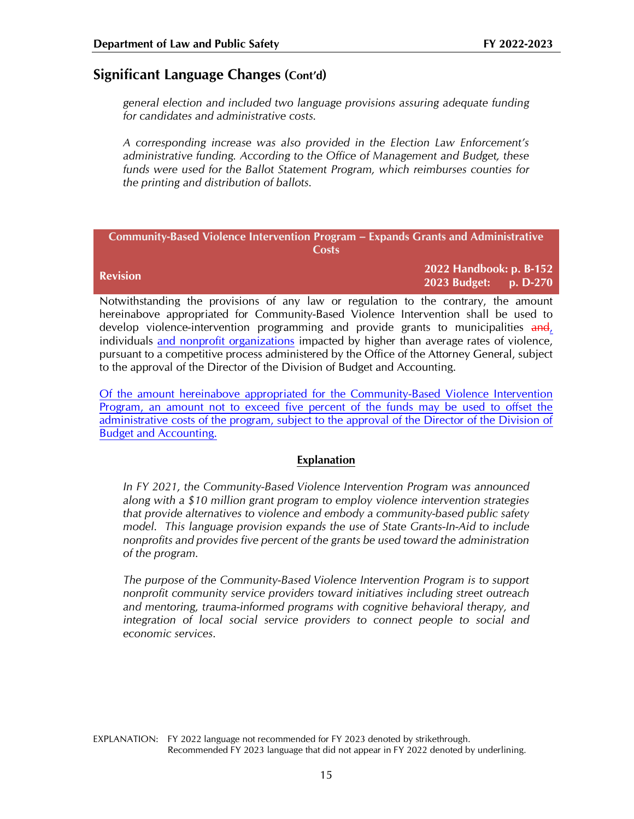# **Significant Language Changes (Cont'd)**

*general election and included two language provisions assuring adequate funding for candidates and administrative costs.*

*A corresponding increase was also provided in the Election Law Enforcement's administrative funding. According to the Office of Management and Budget, these funds were used for the Ballot Statement Program, which reimburses counties for the printing and distribution of ballots.*

|                 | <b>Community-Based Violence Intervention Program – Expands Grants and Administrative</b> |
|-----------------|------------------------------------------------------------------------------------------|
|                 | Costs                                                                                    |
| <b>Revision</b> | 2022 Handbook: p. B-152                                                                  |
|                 | $0.000 \text{ R}$ $1 - i$ $\text{R}$ $0.70$                                              |

**2023 Budget: p. D-270**

Notwithstanding the provisions of any law or regulation to the contrary, the amount hereinabove appropriated for Community-Based Violence Intervention shall be used to develop violence-intervention programming and provide grants to municipalities and, individuals and nonprofit organizations impacted by higher than average rates of violence, pursuant to a competitive process administered by the Office of the Attorney General, subject to the approval of the Director of the Division of Budget and Accounting.

Of the amount hereinabove appropriated for the Community-Based Violence Intervention Program, an amount not to exceed five percent of the funds may be used to offset the administrative costs of the program, subject to the approval of the Director of the Division of Budget and Accounting.

#### **Explanation**

*In FY 2021, the Community-Based Violence Intervention Program was announced along with a \$10 million grant program to employ violence intervention strategies that provide alternatives to violence and embody a community-based public safety model. This language provision expands the use of State Grants-In-Aid to include nonprofits and provides five percent of the grants be used toward the administration of the program.*

*The purpose of the Community-Based Violence Intervention Program is to support nonprofit community service providers toward initiatives including street outreach and mentoring, trauma-informed programs with cognitive behavioral therapy, and integration of local social service providers to connect people to social and economic services.*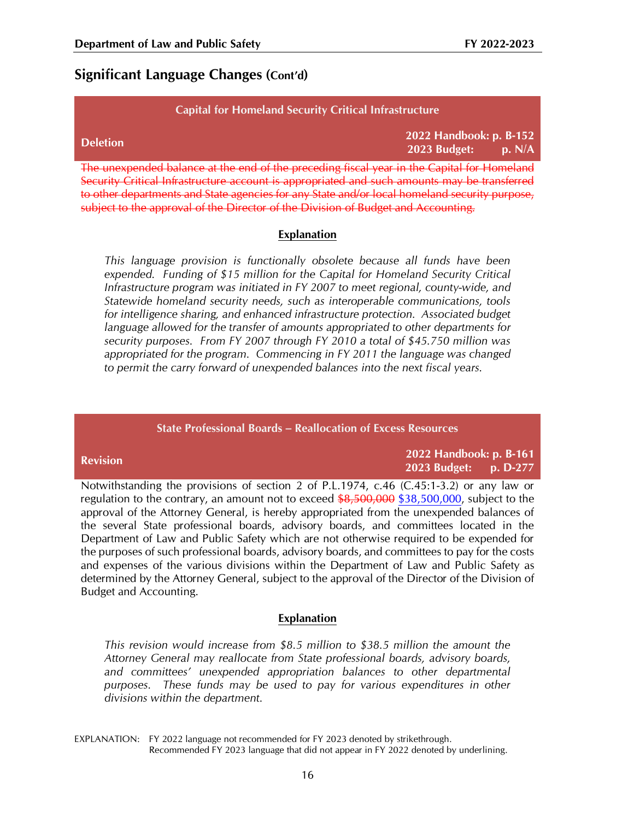# **Significant Language Changes (Cont'd)**

#### **Capital for Homeland Security Critical Infrastructure**

| <b>Deletion</b>                                                                            | 2022 Handbook: p. B-152<br>2023 Budget: $p. N/A$ |  |
|--------------------------------------------------------------------------------------------|--------------------------------------------------|--|
| The unexpended balance at the end of the preceding fiscal year in the Capital for Homeland |                                                  |  |

Security Critical Infrastructure account is appropriated and such amounts may be transferred to other departments and State agencies for any State and/or local homeland security purpose, subject to the approval of the Director of the Division of Budget and Accounting.

#### **Explanation**

*This language provision is functionally obsolete because all funds have been expended. Funding of \$15 million for the Capital for Homeland Security Critical Infrastructure program was initiated in FY 2007 to meet regional, county-wide, and Statewide homeland security needs, such as interoperable communications, tools for intelligence sharing, and enhanced infrastructure protection. Associated budget language allowed for the transfer of amounts appropriated to other departments for security purposes. From FY 2007 through FY 2010 a total of \$45.750 million was appropriated for the program. Commencing in FY 2011 the language was changed to permit the carry forward of unexpended balances into the next fiscal years.*

| <b>State Professional Boards – Reallocation of Excess Resources</b>                                                                                                                      |                                                  |  |  |  |
|------------------------------------------------------------------------------------------------------------------------------------------------------------------------------------------|--------------------------------------------------|--|--|--|
| <b>Revision</b>                                                                                                                                                                          | 2022 Handbook: p. B-161<br>2023 Budget: p. D-277 |  |  |  |
| Notwithstanding the provisions of section 2 of P.L.1974, c.46 (C.45:1-3.2) or any law or<br>regulation to the contrary, an amount not to exceed \$8,500,000 \$38,500,000, subject to the |                                                  |  |  |  |

regulation to the contrary, an amount not to exceed \$8,500,000 \$38,500,000, subject to the approval of the Attorney General, is hereby appropriated from the unexpended balances of the several State professional boards, advisory boards, and committees located in the Department of Law and Public Safety which are not otherwise required to be expended for the purposes of such professional boards, advisory boards, and committees to pay for the costs and expenses of the various divisions within the Department of Law and Public Safety as determined by the Attorney General, subject to the approval of the Director of the Division of Budget and Accounting.

#### **Explanation**

*This revision would increase from \$8.5 million to \$38.5 million the amount the Attorney General may reallocate from State professional boards, advisory boards, and committees' unexpended appropriation balances to other departmental purposes. These funds may be used to pay for various expenditures in other divisions within the department.*

EXPLANATION: FY 2022 language not recommended for FY 2023 denoted by strikethrough. Recommended FY 2023 language that did not appear in FY 2022 denoted by underlining.